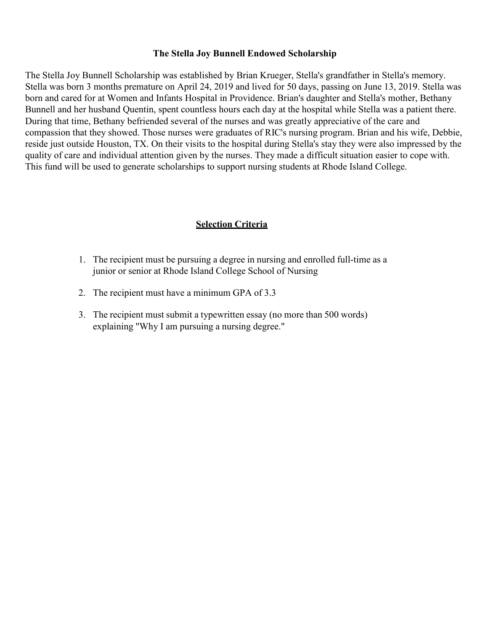## **The Stella Joy Bunnell Endowed Scholarship**

The Stella Joy Bunnell Scholarship was established by Brian Krueger, Stella's grandfather in Stella's memory. Stella was born 3 months premature on April 24, 2019 and lived for 50 days, passing on June 13, 2019. Stella was born and cared for at Women and Infants Hospital in Providence. Brian's daughter and Stella's mother, Bethany Bunnell and her husband Quentin, spent countless hours each day at the hospital while Stella was a patient there. During that time, Bethany befriended several of the nurses and was greatly appreciative of the care and compassion that they showed. Those nurses were graduates of RIC's nursing program. Brian and his wife, Debbie, reside just outside Houston, TX. On their visits to the hospital during Stella's stay they were also impressed by the quality of care and individual attention given by the nurses. They made a difficult situation easier to cope with. This fund will be used to generate scholarships to support nursing students at Rhode Island College.

## **Selection Criteria**

- 1. The recipient must be pursuing a degree in nursing and enrolled full-time as a junior or senior at Rhode Island College School of Nursing
- 2. The recipient must have a minimum GPA of 3.3
- 3. The recipient must submit a typewritten essay (no more than 500 words) explaining "Why I am pursuing a nursing degree."